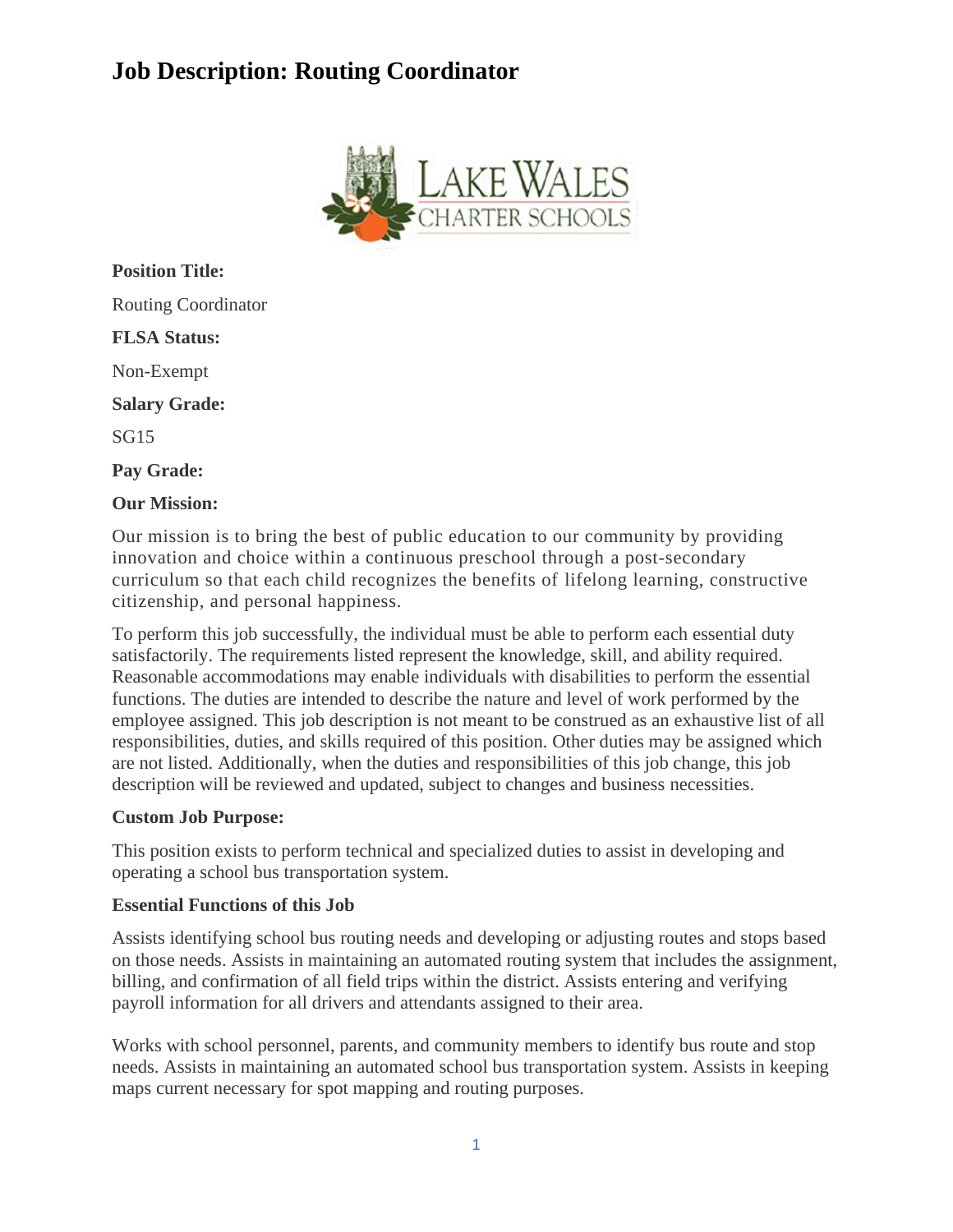# **Job Description: Routing Coordinator**



**Position Title:** Routing Coordinator **FLSA Status:** Non-Exempt **Salary Grade:** SG15 **Pay Grade: Our Mission:**

Our mission is to bring the best of public education to our community by providing innovation and choice within a continuous preschool through a post-secondary curriculum so that each child recognizes the benefits of lifelong learning, constructive citizenship, and personal happiness.

To perform this job successfully, the individual must be able to perform each essential duty satisfactorily. The requirements listed represent the knowledge, skill, and ability required. Reasonable accommodations may enable individuals with disabilities to perform the essential functions. The duties are intended to describe the nature and level of work performed by the employee assigned. This job description is not meant to be construed as an exhaustive list of all responsibilities, duties, and skills required of this position. Other duties may be assigned which are not listed. Additionally, when the duties and responsibilities of this job change, this job description will be reviewed and updated, subject to changes and business necessities.

## **Custom Job Purpose:**

This position exists to perform technical and specialized duties to assist in developing and operating a school bus transportation system.

## **Essential Functions of this Job**

Assists identifying school bus routing needs and developing or adjusting routes and stops based on those needs. Assists in maintaining an automated routing system that includes the assignment, billing, and confirmation of all field trips within the district. Assists entering and verifying payroll information for all drivers and attendants assigned to their area.

Works with school personnel, parents, and community members to identify bus route and stop needs. Assists in maintaining an automated school bus transportation system. Assists in keeping maps current necessary for spot mapping and routing purposes.